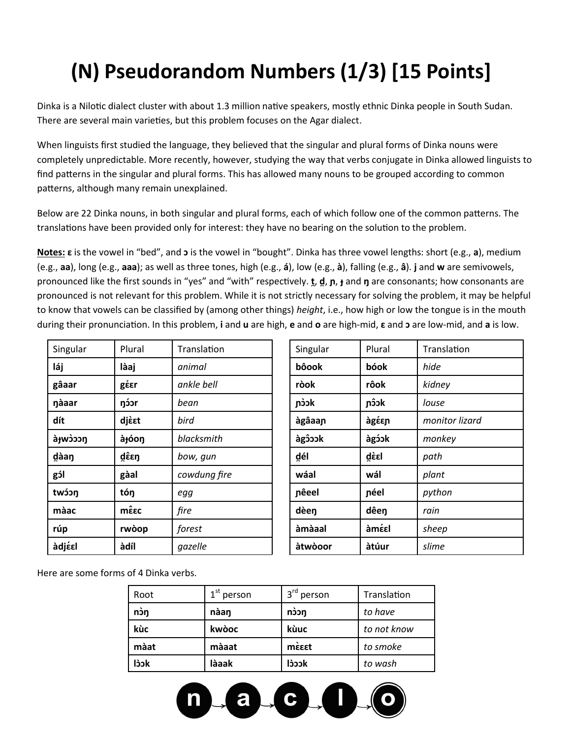## **(N) Pseudorandom Numbers (1/3) [15 Points]**

Dinka is a Nilotic dialect cluster with about 1.3 million native speakers, mostly ethnic Dinka people in South Sudan. There are several main varieties, but this problem focuses on the Agar dialect.

When linguists first studied the language, they believed that the singular and plural forms of Dinka nouns were completely unpredictable. More recently, however, studying the way that verbs conjugate in Dinka allowed linguists to find patterns in the singular and plural forms. This has allowed many nouns to be grouped according to common patterns, although many remain unexplained.

Below are 22 Dinka nouns, in both singular and plural forms, each of which follow one of the common patterns. The translations have been provided only for interest: they have no bearing on the solution to the problem.

**Notes: ɛ** is the vowel in "bed", and **ɔ** is the vowel in "bought". Dinka has three vowel lengths: short (e.g., **a**), medium (e.g., **aa**), long (e.g., **aaa**); as well as three tones, high (e.g., **á**), low (e.g., **à**), falling (e.g., **â**). **j** and **w** are semivowels, pronounced like the first sounds in "yes" and "with" respectively. **t**, **d**, **n**, **j** and **ŋ** are consonants; how consonants are pronounced is not relevant for this problem. While it is not strictly necessary for solving the problem, it may be helpful to know that vowels can be classified by (among other things) *height*, i.e., how high or low the tongue is in the mouth during their pronunciation. In this problem, **i** and **u** are high, **e** and **o** are high-mid, **ɛ** and **ɔ** are low-mid, and **a** is low.

| Singular         | Plural       | Translation  | Singular | Plural | Translation    |
|------------------|--------------|--------------|----------|--------|----------------|
| láj              | làaj         | animal       | bôook    | bóok   | hide           |
| gâaar            | géer         | ankle bell   | ròok     | rôok   | kidney         |
| nàaar            | nóor         | bean         | nàok     | nôok   | louse          |
| dít              | djest        | bird         | àgâaan   | àgέεη  | monitor lizard |
| <b>à</b> two้ววท | àjóon        | blacksmith   | agoook   | àgóok  | monkey         |
| dàan             | <u>d</u> εεη | bow, gun     | dél      | dèal   | path           |
| gól              | gàal         | cowdung fire | wáal     | wál    | plant          |
| twóon            | tóŋ          | egg          | nêeel    | néel   | python         |
| màac             | mêsc         | fire         | dèen     | dêen   | rain           |
| rúp              | rwòop        | forest       | àmàaal   | àméel  | sheep          |
| àdjéal           | àdíl         | gazelle      | àtwòoor  | àtúur  | slime          |

| Singular | Plural | Translation    |
|----------|--------|----------------|
| bôook    | bóok   | hide           |
| ròok     | rôok   | kidney         |
| nàok     | nôok   | louse          |
| àgâaan   | àgέεη  | monitor lizard |
| agoook   | àgóok  | monkey         |
| dél      | lsáb   | path           |
| wáal     | wál    | plant          |
| nêeel    | néel   | python         |
| dèen     | dêen   | rain           |
| àmàaal   | àméel  | sheep          |
| àtwòoor  | àtúur  | slime          |

Here are some forms of 4 Dinka verbs.

| Root | $1st$ person | 3 <sup>rd</sup> person | Translation |
|------|--------------|------------------------|-------------|
| nòŋ  | nàan         | nว้วท                  | to have     |
| kùc  | kwòoc        | kùuc                   | to not know |
| màat | màaat        | mèset                  | to smoke    |
| lòok | làaak        | lòook                  | to wash     |

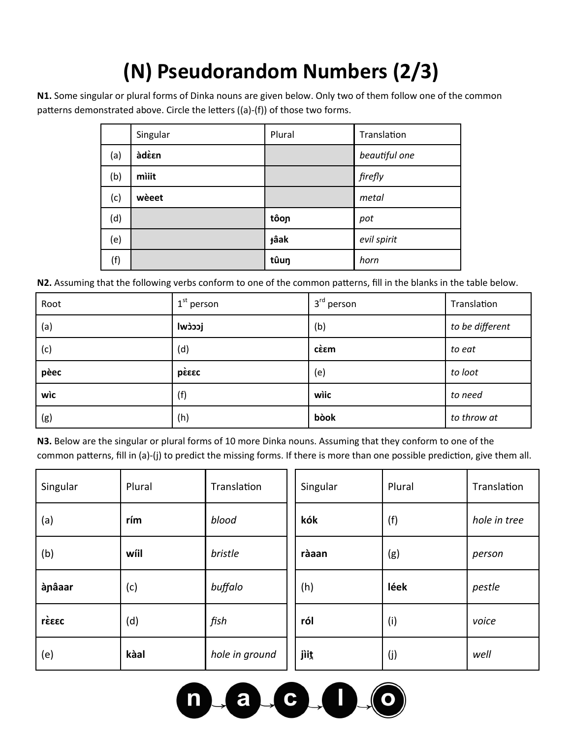## **(N) Pseudorandom Numbers (2/3)**

**N1.** Some singular or plural forms of Dinka nouns are given below. Only two of them follow one of the common patterns demonstrated above. Circle the letters ((a)-(f)) of those two forms.

|     | Singular | Plural | Translation   |
|-----|----------|--------|---------------|
| (a) | adeen    |        | beautiful one |
| (b) | miiit    |        | firefly       |
| (c) | wèeet    |        | metal         |
| (d) |          | tôon   | pot           |
| (e) |          | tâak   | evil spirit   |
| (f) |          | tûuŋ   | horn          |

**N2.** Assuming that the following verbs conform to one of the common patterns, fill in the blanks in the table below.

| Root | $1st$ person  | 3 <sup>rd</sup> person | Translation     |
|------|---------------|------------------------|-----------------|
| (a)  | jccćwl        | (b)                    | to be different |
| (c)  | (d)           | cèam                   | to eat          |
| pèec | <b>p</b> έεες | (e)                    | to loot         |
| wìc  | (f)           | wìic                   | to need         |
| (g)  | (h)           | bòok                   | to throw at     |

**N3.** Below are the singular or plural forms of 10 more Dinka nouns. Assuming that they conform to one of the common patterns, fill in (a)-(j) to predict the missing forms. If there is more than one possible prediction, give them all.

| Singular     | Plural | Translation    | Singular | Plural | Translation  |
|--------------|--------|----------------|----------|--------|--------------|
| (a)          | rím    | blood          | kók      | (f)    | hole in tree |
| (b)          | wíil   | bristle        | ràaan    | (g)    | person       |
| ànâaar       | (c)    | buffalo        | (h)      | léek   | pestle       |
| <b>PEEEC</b> | (d)    | fish           | ról      | (i)    | voice        |
| (e)          | kàal   | hole in ground | jìit     | (j)    | well         |